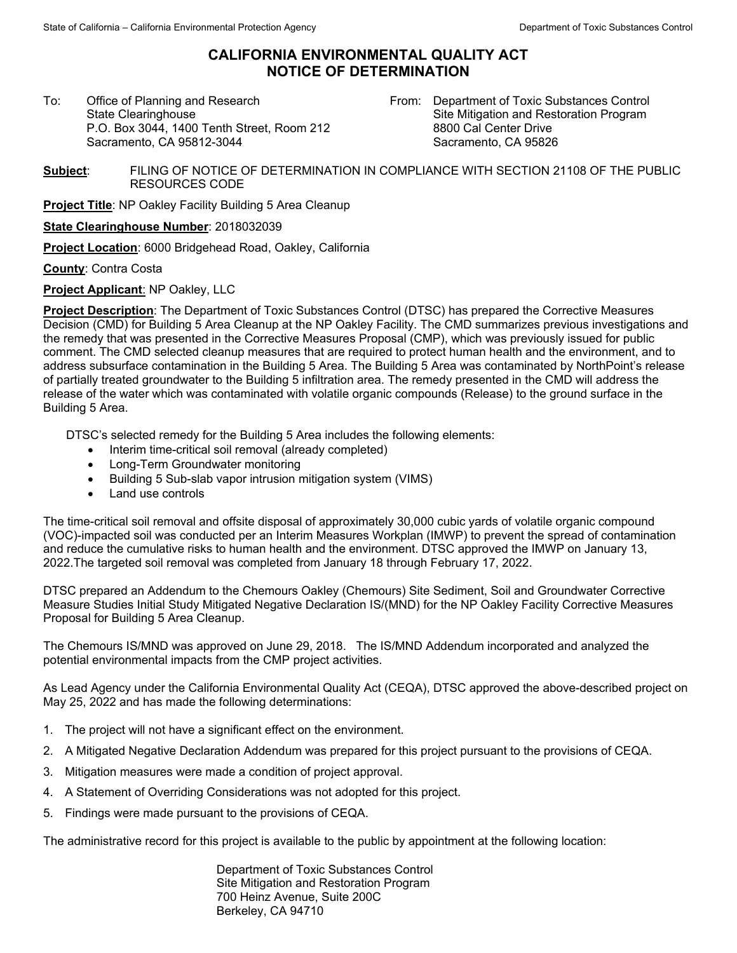## **CALIFORNIA ENVIRONMENTAL QUALITY ACT NOTICE OF DETERMINATION**

To:Office of Planning and Research State Clearinghouse P.O. Box 3044, 1400 Tenth Street, Room 212 Sacramento, CA 95812-3044

From: Department of Toxic Substances Control Site Mitigation and Restoration Program 8800 Cal Center Drive Sacramento, CA 95826

**Subject**: FILING OF NOTICE OF DETERMINATION IN COMPLIANCE WITH SECTION 21108 OF THE PUBLIC RESOURCES CODE

**Project Title: NP Oakley Facility Building 5 Area Cleanup** 

**State Clearinghouse Number**: 2018032039

**Project Location**: 6000 Bridgehead Road, Oakley, California

**County**: Contra Costa

**Project Applicant**: NP Oakley, LLC

**Project Description**: The Department of Toxic Substances Control (DTSC) has prepared the Corrective Measures Decision (CMD) for Building 5 Area Cleanup at the NP Oakley Facility. The CMD summarizes previous investigations and the remedy that was presented in the Corrective Measures Proposal (CMP), which was previously issued for public comment. The CMD selected cleanup measures that are required to protect human health and the environment, and to address subsurface contamination in the Building 5 Area. The Building 5 Area was contaminated by NorthPoint's release of partially treated groundwater to the Building 5 infiltration area. The remedy presented in the CMD will address the release of the water which was contaminated with volatile organic compounds (Release) to the ground surface in the Building 5 Area.

DTSC's selected remedy for the Building 5 Area includes the following elements:

- Interim time-critical soil removal (already completed)
- Long-Term Groundwater monitoring
- Building 5 Sub-slab vapor intrusion mitigation system (VIMS)
- Land use controls

The time-critical soil removal and offsite disposal of approximately 30,000 cubic yards of volatile organic compound (VOC)-impacted soil was conducted per an Interim Measures Workplan (IMWP) to prevent the spread of contamination and reduce the cumulative risks to human health and the environment. DTSC approved the IMWP on January 13, 2022.The targeted soil removal was completed from January 18 through February 17, 2022.

DTSC prepared an Addendum to the Chemours Oakley (Chemours) Site Sediment, Soil and Groundwater Corrective Measure Studies Initial Study Mitigated Negative Declaration IS/(MND) for the NP Oakley Facility Corrective Measures Proposal for Building 5 Area Cleanup.

The Chemours IS/MND was approved on June 29, 2018. The IS/MND Addendum incorporated and analyzed the potential environmental impacts from the CMP project activities.

As Lead Agency under the California Environmental Quality Act (CEQA), DTSC approved the above-described project on May 25, 2022 and has made the following determinations:

- 1. The project will not have a significant effect on the environment.
- 2. A Mitigated Negative Declaration Addendum was prepared for this project pursuant to the provisions of CEQA.
- 3. Mitigation measures were made a condition of project approval.
- 4. A Statement of Overriding Considerations was not adopted for this project.
- 5. Findings were made pursuant to the provisions of CEQA.

The administrative record for this project is available to the public by appointment at the following location:

Department of Toxic Substances Control Site Mitigation and Restoration Program 700 Heinz Avenue, Suite 200C Berkeley, CA 94710